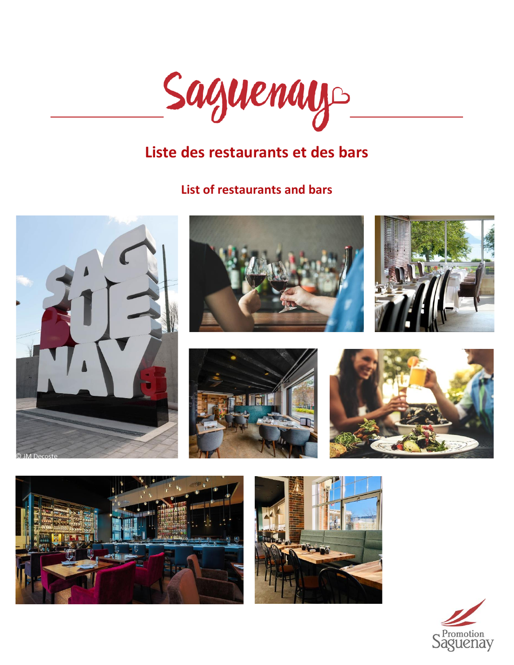

# **Liste des restaurants et des bars**

# **List of restaurants and bars**















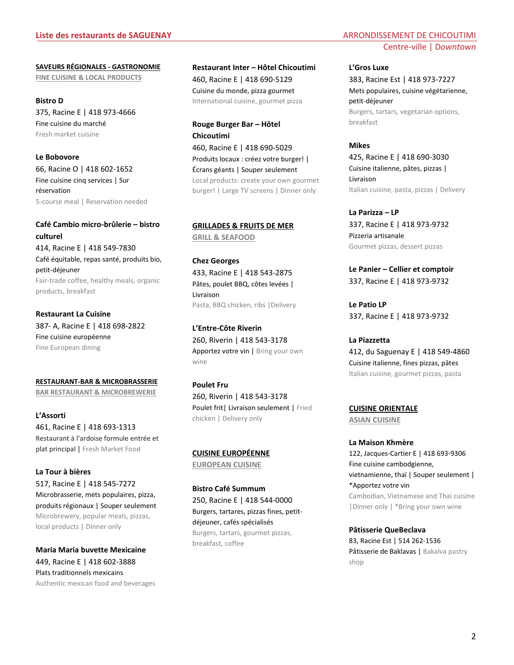**SAVEURS RÉGIONALES - GASTRONOMIE FINE CUISINE & LOCAL PRODUCTS**

**Bistro D** 375, Racine E | 418 973-4666 Fine cuisine du marché Fresh market cuisine

**Le Bobovore**  66, Racine O | 418 602-1652 Fine cuisine cinq services | Sur réservation 5-course meal | Reservation needed

**Café Cambio micro-brûlerie – bistro culturel** 414, Racine E | 418 549-7830 Café équitable, repas santé, produits bio, petit-déjeuner Fair-trade coffee, healthy meals, organic products, breakfast

**Restaurant La Cuisine** 387- A, Racine E | 418 698-2822 Fine cuisine européenne Fine European dining

**RESTAURANT-BAR & MICROBRASSERIE BAR RESTAURANT & MICROBREWERIE**

**L'Assorti** 461, Racine E | 418 693-1313 Restaurant à l'ardoise formule entrée et plat principal | Fresh Market Food

**La Tour à bières**  517, Racine E | 418 545-7272 Microbrasserie, mets populaires, pizza, produits régionaux | Souper seulement Microbrewery, popular meals, pizzas, local products | Dinner only

**Maria Maria buvette Mexicaine** 449, Racine E | 418 602-3888 Plats traditionnels mexicains Authentic mexican food and beverages **Restaurant Inter – Hôtel Chicoutimi** 460, Racine E | 418 690-5129

Cuisine du monde, pizza gourmet International cuisine, gourmet pizza

**Rouge Burger Bar – Hôtel Chicoutimi** 460, Racine E | 418 690-5029 Produits locaux : créez votre burger! |

Écrans géants | Souper seulement Local products: create your own gourmet burger! | Large TV screens | Dinner only

**GRILLADES & FRUITS DE MER GRILL & SEAFOOD**

**Chez Georges** 433, Racine E | 418 543-2875 Pâtes, poulet BBQ, côtes levées | Livraison Pasta, BBQ chicken, ribs |Delivery

**L'Entre-Côte Riverin** 260, Riverin | 418 543-3178 Apportez votre vin | Bring your own wine

**Poulet Fru** 260, Riverin | 418 543-3178 Poulet frit| Livraison seulement | Fried chicken | Delivery only

**CUISINE EUROPÉENNE**

**EUROPEAN CUISINE**

**Bistro Café Summum** 250, Racine E | 418 544-0000 Burgers, tartares, pizzas fines, petitdéjeuner, cafés spécialisés Burgers, tartars, gourmet pizzas, breakfast, coffee

# Centre-ville | D*owntown*

**L'Gros Luxe**

383, Racine Est | 418 973-7227 Mets populaires, cuisine végétarienne, petit-déjeuner Burgers, tartars, vegetarian options, breakfast

**Mikes** 425, Racine E | 418 690-3030 Cuisine italienne, pâtes, pizzas | Livraison Italian cuisine, pasta, pizzas | Delivery

**La Parizza – LP** 337, Racine E | 418 973-9732 Pizzeria artisanale Gourmet pizzas, dessert pizzas

**Le Panier – Cellier et comptoir** 337, Racine E | 418 973-9732

**Le Patio LP** 337, Racine E | 418 973-9732

**La Piazzetta**  412, du Saguenay E | 418 549-4860 Cuisine italienne, fines pizzas, pâtes Italian cuisine, gourmet pizzas, pasta

**CUISINE ORIENTALE** 

**ASIAN CUISINE** 

**La Maison Khmère** 122, Jacques-Cartier E | 418 693-9306 Fine cuisine cambodgienne, vietnamienne, thaï | Souper seulement | \*Apportez votre vin Cambodian, Vietnamese and Thai cuisine |Dinner only | \*Bring your own wine

**Pâtisserie QueBeclava** 83, Racine Est | 514 262-1536 Pâtisserie de Baklavas | Bakalva pastry shop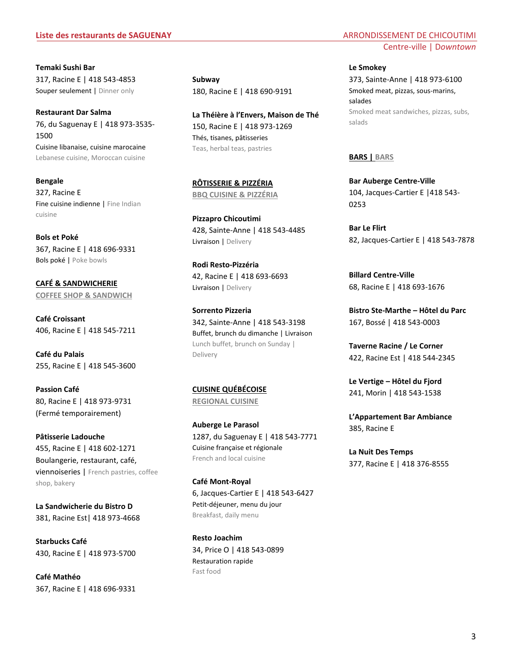**Temaki Sushi Bar** 317, Racine E | 418 543-4853 Souper seulement | Dinner only

**Restaurant Dar Salma** 76, du Saguenay E | 418 973-3535- 1500 Cuisine libanaise, cuisine marocaine Lebanese cuisine, Moroccan cuisine

**Bengale** 327, Racine E Fine cuisine indienne | Fine Indian cuisine

**Bols et Poké** 367, Racine E | 418 696-9331 Bols poké | Poke bowls

**CAFÉ & SANDWICHERIE COFFEE SHOP & SANDWICH**

**Café Croissant**  406, Racine E | 418 545-7211

**Café du Palais** 255, Racine E | 418 545-3600

**Passion Café** 80, Racine E | 418 973-9731 (Fermé temporairement)

**Pâtisserie Ladouche** 455, Racine E | 418 602-1271 Boulangerie, restaurant, café, viennoiseries | French pastries, coffee shop, bakery

**La Sandwicherie du Bistro D** 381, Racine Est| 418 973-4668

**Starbucks Café** 430, Racine E | 418 973-5700

**Café Mathéo** 367, Racine E | 418 696-9331 **Subway** 180, Racine E | 418 690-9191

**La Théière à l'Envers, Maison de Thé** 150, Racine E | 418 973-1269 Thés, tisanes, pâtisseries Teas, herbal teas, pastries

**RÔTISSERIE & PIZZÉRIA BBQ CUISINE & PIZZÉRIA**

**Pizzapro Chicoutimi** 428, Sainte-Anne | 418 543-4485 Livraison | Delivery

**Rodi Resto-Pizzéria** 42, Racine E | 418 693-6693 Livraison | Delivery

**Sorrento Pizzeria** 342, Sainte-Anne | 418 543-3198 Buffet, brunch du dimanche | Livraison Lunch buffet, brunch on Sunday | Delivery

**CUISINE QUÉBÉCOISE REGIONAL CUISINE**

**Auberge Le Parasol** 1287, du Saguenay E | 418 543-7771 Cuisine française et régionale French and local cuisine

**Café Mont-Royal** 6, Jacques-Cartier E | 418 543-6427 Petit-déjeuner, menu du jour Breakfast, daily menu

**Resto Joachim** 34, Price O | 418 543-0899 Restauration rapide Fast food

# Centre-ville | D*owntown*

**Le Smokey** 373, Sainte-Anne | 418 973-6100 Smoked meat, pizzas, sous-marins, salades Smoked meat sandwiches, pizzas, subs, salads

#### **BARS | BARS**

**Bar Auberge Centre-Ville** 104, Jacques-Cartier E |418 543- 0253

**Bar Le Flirt** 82, Jacques-Cartier E | 418 543-7878

**Billard Centre-Ville** 68, Racine E | 418 693-1676

**Bistro Ste-Marthe – Hôtel du Parc** 167, Bossé | 418 543-0003

**Taverne Racine / Le Corner** 422, Racine Est | 418 544-2345

**Le Vertige – Hôtel du Fjord** 241, Morin | 418 543-1538

**L'Appartement Bar Ambiance** 385, Racine E

**La Nuit Des Temps** 377, Racine E | 418 376-8555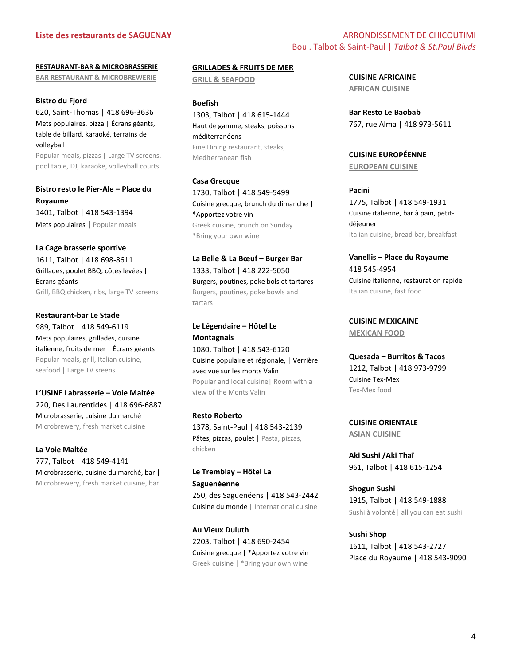**RESTAURANT-BAR & MICROBRASSERIE BAR RESTAURANT & MICROBREWERIE**

#### **Bistro du Fjord**

620, Saint-Thomas | 418 696-3636 Mets populaires, pizza | Écrans géants, table de billard, karaoké, terrains de volleyball

Popular meals, pizzas | Large TV screens, pool table, DJ, karaoke, volleyball courts

**Bistro resto le Pier-Ale – Place du Royaume** 1401, Talbot | 418 543-1394 Mets populaires | Popular meals

#### **La Cage brasserie sportive**

1611, Talbot | 418 698-8611 Grillades, poulet BBQ, côtes levées | Écrans géants Grill, BBQ chicken, ribs, large TV screens

**Restaurant-bar Le Stade** 989, Talbot | 418 549-6119 Mets populaires, grillades, cuisine italienne, fruits de mer | Écrans géants Popular meals, grill, Italian cuisine, seafood | Large TV sreens

**L'USINE Labrasserie – Voie Maltée** 220, Des Laurentides | 418 696-6887 Microbrasserie, cuisine du marché Microbrewery, fresh market cuisine

**La Voie Maltée**  777, Talbot | 418 549-4141 Microbrasserie, cuisine du marché, bar | Microbrewery, fresh market cuisine, bar

**GRILLADES & FRUITS DE MER GRILL & SEAFOOD**

**Boefish** 1303, Talbot | 418 615-1444 Haut de gamme, steaks, poissons méditerranéens Fine Dining restaurant, steaks, Mediterranean fish

**Casa Grecque** 1730, Talbot | 418 549-5499 Cuisine grecque, brunch du dimanche | \*Apportez votre vin Greek cuisine, brunch on Sunday | \*Bring your own wine

**La Belle & La Bœuf – Burger Bar** 1333, Talbot | 418 222-5050 Burgers, poutines, poke bols et tartares Burgers, poutines, poke bowls and tartars

**Le Légendaire – Hôtel Le Montagnais** 1080, Talbot | 418 543-6120 Cuisine populaire et régionale, | Verrière avec vue sur les monts Valin Popular and local cuisine| Room with a view of the Monts Valin

**Resto Roberto** 1378, Saint-Paul | 418 543-2139 Pâtes, pizzas, poulet | Pasta, pizzas, chicken

**Le Tremblay – Hôtel La Saguenéenne** 250, des Saguenéens | 418 543-2442

Cuisine du monde | International cuisine

**Au Vieux Duluth** 2203, Talbot | 418 690-2454 Cuisine grecque | \*Apportez votre vin Greek cuisine | \*Bring your own wine

**CUISINE AFRICAINE AFRICAN CUISINE**

**Bar Resto Le Baobab** 767, rue Alma | 418 973-5611

**CUISINE EUROPÉENNE EUROPEAN CUISINE**

**Pacini** 1775, Talbot | 418 549-1931 Cuisine italienne, bar à pain, petitdéjeuner Italian cuisine, bread bar, breakfast

**Vanellis – Place du Royaume** 418 545-4954 Cuisine italienne, restauration rapide Italian cuisine, fast food

**CUISINE MEXICAINE MEXICAN FOOD**

**Quesada – Burritos & Tacos** 1212, Talbot | 418 973-9799 Cuisine Tex-Mex Tex-Mex food

**CUISINE ORIENTALE ASIAN CUISINE** 

**Aki Sushi /Aki Thaï** 961, Talbot | 418 615-1254

**Shogun Sushi** 1915, Talbot | 418 549-1888 Sushi à volonté| all you can eat sushi

**Sushi Shop** 1611, Talbot | 418 543-2727 Place du Royaume | 418 543-9090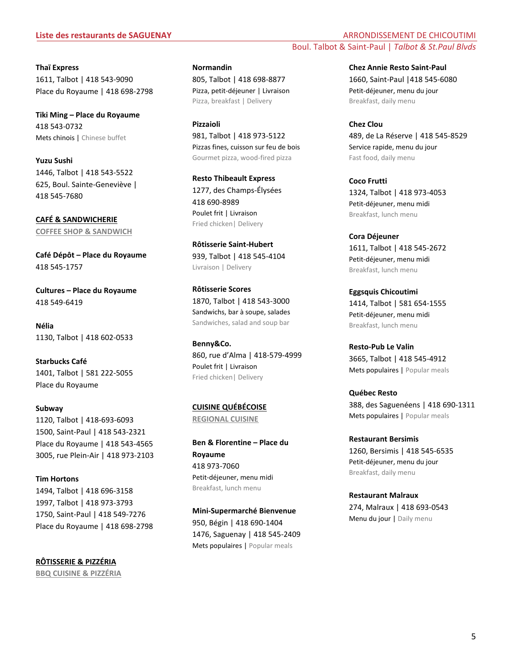**Thaï Express** 1611, Talbot | 418 543-9090 Place du Royaume | 418 698-2798

**Tiki Ming – Place du Royaume** 418 543-0732 Mets chinois | Chinese buffet

**Yuzu Sushi** 1446, Talbot | 418 543-5522 625, Boul. Sainte-Geneviève | 418 545-7680

**CAFÉ & SANDWICHERIE COFFEE SHOP & SANDWICH**

**Café Dépôt – Place du Royaume** 418 545-1757

**Cultures – Place du Royaume** 418 549-6419

**Nélia** 1130, Talbot | 418 602-0533

**Starbucks Café** 1401, Talbot | 581 222-5055 Place du Royaume

**Subway**  1120, Talbot | 418-693-6093 1500, Saint-Paul | 418 543-2321 Place du Royaume | 418 543-4565 3005, rue Plein-Air | 418 973-2103

**Tim Hortons** 1494, Talbot | 418 696-3158 1997, Talbot | 418 973-3793 1750, Saint-Paul | 418 549-7276 Place du Royaume | 418 698-2798

**RÔTISSERIE & PIZZÉRIA BBQ CUISINE & PIZZÉRIA** **Normandin** 805, Talbot | 418 698-8877 Pizza, petit-déjeuner | Livraison Pizza, breakfast | Delivery

**Pizzaioli** 981, Talbot | 418 973-5122 Pizzas fines, cuisson sur feu de bois Gourmet pizza, wood-fired pizza

**Resto Thibeault Express** 1277, des Champs-Élysées 418 690-8989 Poulet frit | Livraison Fried chicken| Delivery

**Rôtisserie Saint-Hubert** 939, Talbot | 418 545-4104 Livraison | Delivery

**Rôtisserie Scores** 1870, Talbot | 418 543-3000 Sandwichs, bar à soupe, salades Sandwiches, salad and soup bar

**Benny&Co.** 860, rue d'Alma | 418-579-4999 Poulet frit | Livraison Fried chicken| Delivery

**CUISINE QUÉBÉCOISE REGIONAL CUISINE**

**Ben & Florentine – Place du Royaume** 418 973-7060 Petit-déjeuner, menu midi Breakfast, lunch menu

**Mini-Supermarché Bienvenue** 950, Bégin | 418 690-1404 1476, Saguenay | 418 545-2409 Mets populaires | Popular meals

**Liste des restaurants de SAGUENAY** ARRONDISSEMENT DE CHICOUTIMI Boul. Talbot & Saint-Paul | *Talbot & St.Paul Blvds*

> **Chez Annie Resto Saint-Paul** 1660, Saint-Paul |418 545-6080 Petit-déjeuner, menu du jour Breakfast, daily menu

**Chez Clou** 489, de La Réserve | 418 545-8529 Service rapide, menu du jour Fast food, daily menu

**Coco Frutti** 1324, Talbot | 418 973-4053 Petit-déjeuner, menu midi Breakfast, lunch menu

**Cora Déjeuner** 1611, Talbot | 418 545-2672 Petit-déjeuner, menu midi Breakfast, lunch menu

**Eggsquis Chicoutimi** 1414, Talbot | 581 654-1555 Petit-déjeuner, menu midi Breakfast, lunch menu

**Resto-Pub Le Valin** 3665, Talbot | 418 545-4912 Mets populaires | Popular meals

**Québec Resto** 388, des Saguenéens | 418 690-1311 Mets populaires | Popular meals

**Restaurant Bersimis** 1260, Bersimis | 418 545-6535 Petit-déjeuner, menu du jour Breakfast, daily menu

**Restaurant Malraux** 274, Malraux | 418 693-0543 Menu du jour | Daily menu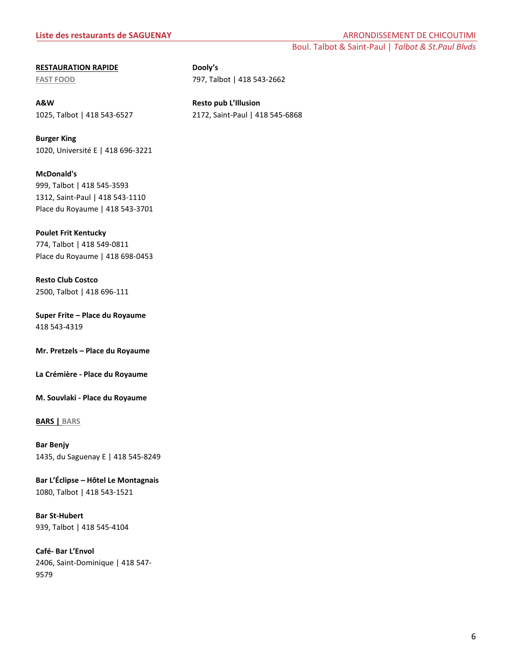### **Liste des restaurants de SAGUENAY** ARRONDISSEMENT DE CHICOUTIMI

Boul. Talbot & Saint-Paul | *Talbot & St.Paul Blvds*

#### **RESTAURATION RAPIDE**

**FAST FOOD**

**A&W** 1025, Talbot | 418 543-6527 **Resto pub L'Illusion** 2172, Saint-Paul | 418 545-6868

797, Talbot | 418 543-2662

**Dooly's**

**Burger King** 1020, Université E | 418 696-3221

**McDonald's** 999, Talbot | 418 545-3593 1312, Saint-Paul | 418 543-1110 Place du Royaume | 418 543-3701

**Poulet Frit Kentucky** 774, Talbot | 418 549-0811 Place du Royaume | 418 698-0453

**Resto Club Costco** 2500, Talbot | 418 696-111

**Super Frite – Place du Royaume** 418 543-4319

**Mr. Pretzels – Place du Royaume**

**La Crémière - Place du Royaume**

**M. Souvlaki - Place du Royaume**

**BARS | BARS**

**Bar Benjy** 1435, du Saguenay E | 418 545-8249

**Bar L'Éclipse – Hôtel Le Montagnais**  1080, Talbot | 418 543-1521

**Bar St-Hubert** 939, Talbot | 418 545-4104

**Café- Bar L'Envol**  2406, Saint-Dominique | 418 547- 9579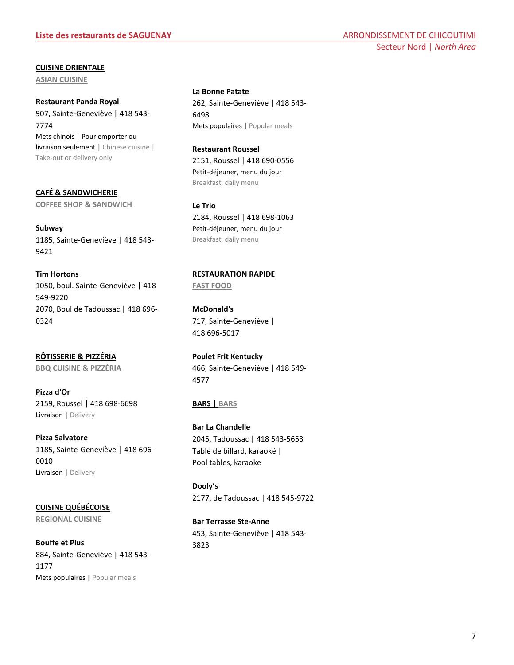**CUISINE ORIENTALE** 

**ASIAN CUISINE** 

**Restaurant Panda Royal** 907, Sainte-Geneviève | 418 543- 7774 Mets chinois | Pour emporter ou livraison seulement | Chinese cuisine | Take-out or delivery only

**CAFÉ & SANDWICHERIE COFFEE SHOP & SANDWICH**

**Subway** 1185, Sainte-Geneviève | 418 543- 9421

**Tim Hortons** 1050, boul. Sainte-Geneviève | 418 549-9220 2070, Boul de Tadoussac | 418 696- 0324

**RÔTISSERIE & PIZZÉRIA BBQ CUISINE & PIZZÉRIA**

**Pizza d'Or** 2159, Roussel | 418 698-6698 Livraison | Delivery

**Pizza Salvatore** 1185, Sainte-Geneviève | 418 696- 0010 Livraison | Delivery

**CUISINE QUÉBÉCOISE REGIONAL CUISINE**

**Bouffe et Plus** 884, Sainte-Geneviève | 418 543- 1177 Mets populaires | Popular meals

**La Bonne Patate** 262, Sainte-Geneviève | 418 543- 6498 Mets populaires | Popular meals

**Restaurant Roussel** 2151, Roussel | 418 690-0556 Petit-déjeuner, menu du jour Breakfast, daily menu

**Le Trio** 2184, Roussel | 418 698-1063 Petit-déjeuner, menu du jour Breakfast, daily menu

**RESTAURATION RAPIDE FAST FOOD**

**McDonald's** 717, Sainte-Geneviève | 418 696-5017

**Poulet Frit Kentucky** 466, Sainte-Geneviève | 418 549- 4577

## **BARS | BARS**

**Bar La Chandelle** 2045, Tadoussac | 418 543-5653 Table de billard, karaoké | Pool tables, karaoke

**Dooly's** 2177, de Tadoussac | 418 545-9722

**Bar Terrasse Ste-Anne** 453, Sainte-Geneviève | 418 543- 3823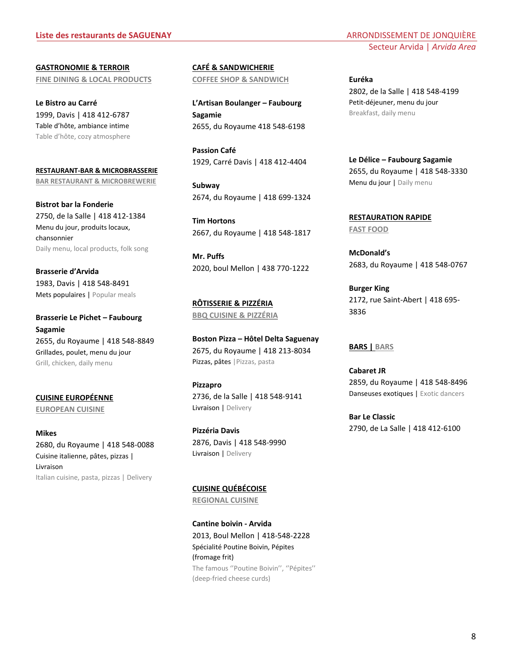**GASTRONOMIE & TERROIR FINE DINING & LOCAL PRODUCTS**

**Le Bistro au Carré** 1999, Davis | 418 412-6787 Table d'hôte, ambiance intime Table d'hôte, cozy atmosphere

**RESTAURANT-BAR & MICROBRASSERIE BAR RESTAURANT & MICROBREWERIE**

**Bistrot bar la Fonderie** 2750, de la Salle | 418 412-1384 Menu du jour, produits locaux, chansonnier Daily menu, local products, folk song

**Brasserie d'Arvida** 1983, Davis | 418 548-8491 Mets populaires | Popular meals

**Brasserie Le Pichet – Faubourg Sagamie** 2655, du Royaume | 418 548-8849 Grillades, poulet, menu du jour Grill, chicken, daily menu

**CUISINE EUROPÉENNE EUROPEAN CUISINE**

**Mikes** 2680, du Royaume | 418 548-0088 Cuisine italienne, pâtes, pizzas | Livraison Italian cuisine, pasta, pizzas | Delivery

**CAFÉ & SANDWICHERIE COFFEE SHOP & SANDWICH**

**L'Artisan Boulanger – Faubourg Sagamie** 2655, du Royaume 418 548-6198

**Passion Café** 1929, Carré Davis | 418 412-4404

**Subway** 2674, du Royaume | 418 699-1324

**Tim Hortons** 2667, du Royaume | 418 548-1817

**Mr. Puffs** 2020, boul Mellon | 438 770-1222

**RÔTISSERIE & PIZZÉRIA BBQ CUISINE & PIZZÉRIA**

**Boston Pizza – Hôtel Delta Saguenay** 2675, du Royaume | 418 213-8034 Pizzas, pâtes | Pizzas, pasta

**Pizzapro** 2736, de la Salle | 418 548-9141 Livraison | Delivery

**Pizzéria Davis** 2876, Davis | 418 548-9990 Livraison | Delivery

**CUISINE QUÉBÉCOISE**

**REGIONAL CUISINE**

**Cantine boivin - Arvida** 2013, Boul Mellon | 418-548-2228 Spécialité Poutine Boivin, Pépites (fromage frit) The famous ''Poutine Boivin'', ''Pépites'' (deep-fried cheese curds)

**Euréka** 2802, de la Salle | 418 548-4199 Petit-déjeuner, menu du jour Breakfast, daily menu

**Le Délice – Faubourg Sagamie** 2655, du Royaume | 418 548-3330 Menu du jour | Daily menu

**RESTAURATION RAPIDE FAST FOOD**

**McDonald's**  2683, du Royaume | 418 548-0767

**Burger King** 2172, rue Saint-Abert | 418 695- 3836

#### **BARS | BARS**

**Cabaret JR** 2859, du Royaume | 418 548-8496 Danseuses exotiques | Exotic dancers

**Bar Le Classic** 2790, de La Salle | 418 412-6100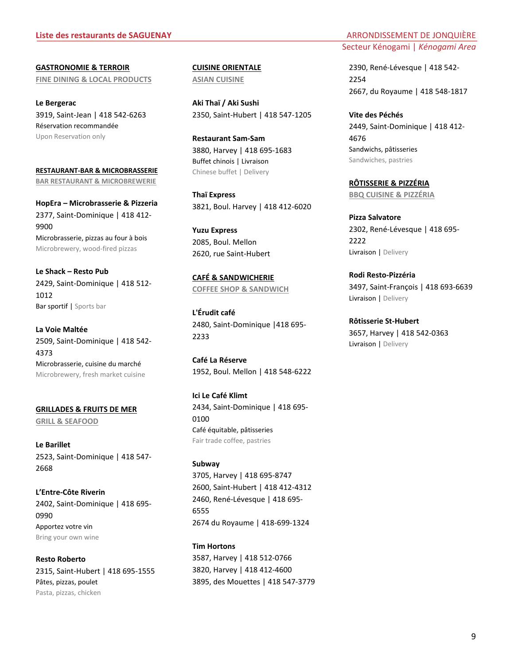#### **Liste des restaurants de SAGUENAY ARRONDISSEMENT DE JONQUIÈRE**

**GASTRONOMIE & TERROIR FINE DINING & LOCAL PRODUCTS**

**Le Bergerac** 3919, Saint-Jean | 418 542-6263 Réservation recommandée Upon Reservation only

**RESTAURANT-BAR & MICROBRASSERIE BAR RESTAURANT & MICROBREWERIE**

**HopEra – Microbrasserie & Pizzeria** 2377, Saint-Dominique | 418 412- 9900 Microbrasserie, pizzas au four à bois Microbrewery, wood-fired pizzas

**Le Shack – Resto Pub** 2429, Saint-Dominique | 418 512- 1012 Bar sportif | Sports bar

**La Voie Maltée** 2509, Saint-Dominique | 418 542- 4373 Microbrasserie, cuisine du marché Microbrewery, fresh market cuisine

**GRILLADES & FRUITS DE MER GRILL & SEAFOOD** 

**Le Barillet** 2523, Saint-Dominique | 418 547- 2668

**L'Entre-Côte Riverin** 2402, Saint-Dominique | 418 695- 0990 Apportez votre vin Bring your own wine

**Resto Roberto** 2315, Saint-Hubert | 418 695-1555 Pâtes, pizzas, poulet Pasta, pizzas, chicken

**CUISINE ORIENTALE ASIAN CUISINE** 

**Aki Thaï / Aki Sushi** 2350, Saint-Hubert | 418 547-1205

**Restaurant Sam-Sam** 3880, Harvey | 418 695-1683 Buffet chinois | Livraison Chinese buffet | Delivery

**Thaï Express** 3821, Boul. Harvey | 418 412-6020

**Yuzu Express** 2085, Boul. Mellon 2620, rue Saint-Hubert

**CAFÉ & SANDWICHERIE COFFEE SHOP & SANDWICH**

**L'Érudit café** 2480, Saint-Dominique |418 695- 2233

**Café La Réserve** 1952, Boul. Mellon | 418 548-6222

**Ici Le Café Klimt** 2434, Saint-Dominique | 418 695- 0100 Café équitable, pâtisseries Fair trade coffee, pastries

#### **Subway**

3705, Harvey | 418 695-8747 2600, Saint-Hubert | 418 412-4312 2460, René-Lévesque | 418 695- 6555 2674 du Royaume | 418-699-1324

# **Tim Hortons**

3587, Harvey | 418 512-0766 3820, Harvey | 418 412-4600 3895, des Mouettes | 418 547-3779

# Secteur Kénogami | *Kénogami Area*

2390, René-Lévesque | 418 542- 2254 2667, du Royaume | 418 548-1817

**Vite des Péchés** 2449, Saint-Dominique | 418 412- 4676 Sandwichs, pâtisseries Sandwiches, pastries

**RÔTISSERIE & PIZZÉRIA BBQ CUISINE & PIZZÉRIA**

**Pizza Salvatore** 2302, René-Lévesque | 418 695- 2222 Livraison | Delivery

**Rodi Resto-Pizzéria**  3497, Saint-François | 418 693-6639 Livraison | Delivery

**Rôtisserie St-Hubert** 3657, Harvey | 418 542-0363 Livraison | Delivery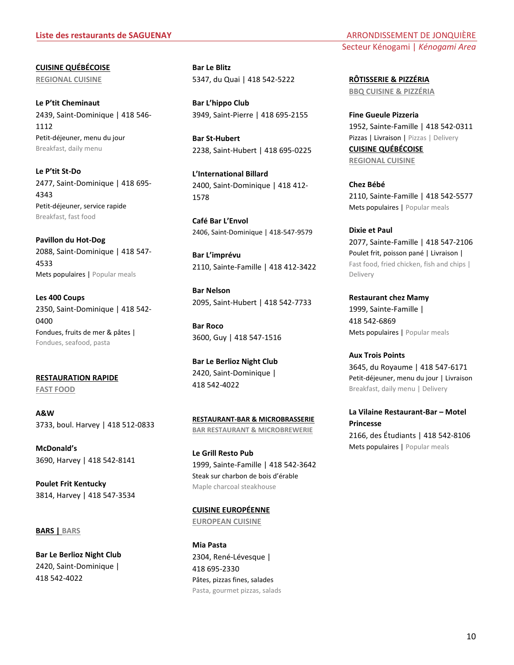#### **Liste des restaurants de SAGUENAY ARRONDISSEMENT DE JONQUIÈRE**

**CUISINE QUÉBÉCOISE REGIONAL CUISINE**

**Le P'tit Cheminaut** 2439, Saint-Dominique | 418 546- 1112 Petit-déjeuner, menu du jour Breakfast, daily menu

**Le P'tit St-Do** 2477, Saint-Dominique | 418 695- 4343 Petit-déjeuner, service rapide Breakfast, fast food

**Pavillon du Hot-Dog** 2088, Saint-Dominique | 418 547- 4533 Mets populaires | Popular meals

**Les 400 Coups** 2350, Saint-Dominique | 418 542- 0400 Fondues, fruits de mer & pâtes | Fondues, seafood, pasta

**RESTAURATION RAPIDE FAST FOOD**

**A&W** 3733, boul. Harvey | 418 512-0833

**McDonald's**  3690, Harvey | 418 542-8141

**Poulet Frit Kentucky** 3814, Harvey | 418 547-3534

#### **BARS | BARS**

**Bar Le Berlioz Night Club** 2420, Saint-Dominique | 418 542-4022

**Bar Le Blitz** 5347, du Quai | 418 542-5222

**Bar L'hippo Club** 3949, Saint-Pierre | 418 695-2155

**Bar St-Hubert** 2238, Saint-Hubert | 418 695-0225

**L'International Billard** 2400, Saint-Dominique | 418 412- 1578

**Café Bar L'Envol** 2406, Saint-Dominique | 418-547-9579

**Bar L'imprévu** 2110, Sainte-Famille | 418 412-3422

**Bar Nelson** 2095, Saint-Hubert | 418 542-7733

**Bar Roco** 3600, Guy | 418 547-1516

**Bar Le Berlioz Night Club** 2420, Saint-Dominique | 418 542-4022

**RESTAURANT-BAR & MICROBRASSERIE BAR RESTAURANT & MICROBREWERIE**

**Le Grill Resto Pub** 1999, Sainte-Famille | 418 542-3642 Steak sur charbon de bois d'érable Maple charcoal steakhouse

**CUISINE EUROPÉENNE EUROPEAN CUISINE**

**Mia Pasta**  2304, René-Lévesque | 418 695-2330 Pâtes, pizzas fines, salades Pasta, gourmet pizzas, salads Secteur Kénogami | *Kénogami Area*

**RÔTISSERIE & PIZZÉRIA BBQ CUISINE & PIZZÉRIA**

**Fine Gueule Pizzeria** 1952, Sainte-Famille | 418 542-0311 Pizzas | Livraison | Pizzas | Delivery **CUISINE QUÉBÉCOISE REGIONAL CUISINE**

**Chez Bébé** 2110, Sainte-Famille | 418 542-5577 Mets populaires | Popular meals

**Dixie et Paul** 2077, Sainte-Famille | 418 547-2106 Poulet frit, poisson pané | Livraison | Fast food, fried chicken, fish and chips | Delivery

**Restaurant chez Mamy** 1999, Sainte-Famille | 418 542-6869 Mets populaires | Popular meals

**Aux Trois Points** 3645, du Royaume | 418 547-6171 Petit-déjeuner, menu du jour | Livraison Breakfast, daily menu | Delivery

**La Vilaine Restaurant-Bar – Motel Princesse** 2166, des Étudiants | 418 542-8106 Mets populaires | Popular meals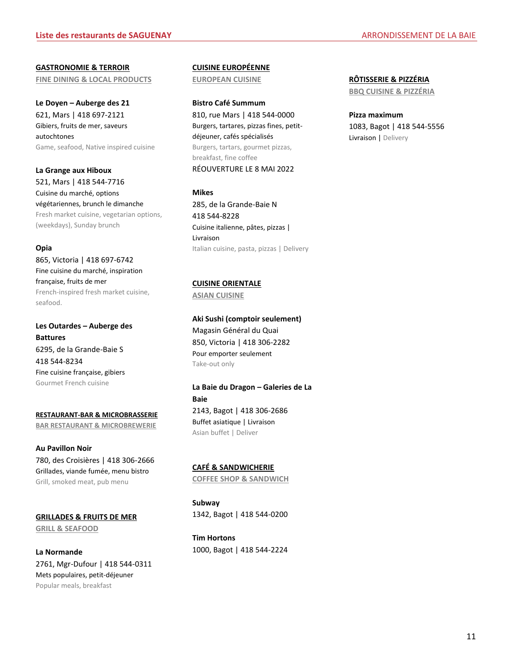**GASTRONOMIE & TERROIR FINE DINING & LOCAL PRODUCTS**

**Le Doyen – Auberge des 21** 621, Mars | 418 697-2121 Gibiers, fruits de mer, saveurs autochtones Game, seafood, Native inspired cuisine

**La Grange aux Hiboux** 521, Mars | 418 544-7716 Cuisine du marché, options végétariennes, brunch le dimanche Fresh market cuisine, vegetarian options, (weekdays), Sunday brunch

#### **Opia**

865, Victoria | 418 697-6742 Fine cuisine du marché, inspiration française, fruits de mer French-inspired fresh market cuisine, seafood.

**Les Outardes – Auberge des Battures** 6295, de la Grande-Baie S 418 544-8234 Fine cuisine française, gibiers Gourmet French cuisine

**RESTAURANT-BAR & MICROBRASSERIE BAR RESTAURANT & MICROBREWERIE**

**Au Pavillon Noir** 780, des Croisières | 418 306-2666 Grillades, viande fumée, menu bistro Grill, smoked meat, pub menu

**GRILLADES & FRUITS DE MER**

**GRILL & SEAFOOD**

**La Normande** 2761, Mgr-Dufour | 418 544-0311 Mets populaires, petit-déjeuner Popular meals, breakfast

**CUISINE EUROPÉENNE**

**EUROPEAN CUISINE**

**Bistro Café Summum** 810, rue Mars | 418 544-0000 Burgers, tartares, pizzas fines, petitdéjeuner, cafés spécialisés Burgers, tartars, gourmet pizzas, breakfast, fine coffee RÉOUVERTURE LE 8 MAI 2022

**Mikes** 285, de la Grande-Baie N 418 544-8228 Cuisine italienne, pâtes, pizzas | Livraison Italian cuisine, pasta, pizzas | Delivery

**CUISINE ORIENTALE** 

**ASIAN CUISINE** 

**Aki Sushi (comptoir seulement)** Magasin Général du Quai 850, Victoria | 418 306-2282 Pour emporter seulement Take-out only

**La Baie du Dragon – Galeries de La Baie** 2143, Bagot | 418 306-2686 Buffet asiatique | Livraison Asian buffet | Deliver

## **CAFÉ & SANDWICHERIE**

**COFFEE SHOP & SANDWICH**

**Subway** 1342, Bagot | 418 544-0200

**Tim Hortons** 1000, Bagot | 418 544-2224 **RÔTISSERIE & PIZZÉRIA**

**BBQ CUISINE & PIZZÉRIA**

**Pizza maximum** 1083, Bagot | 418 544-5556 Livraison | Delivery